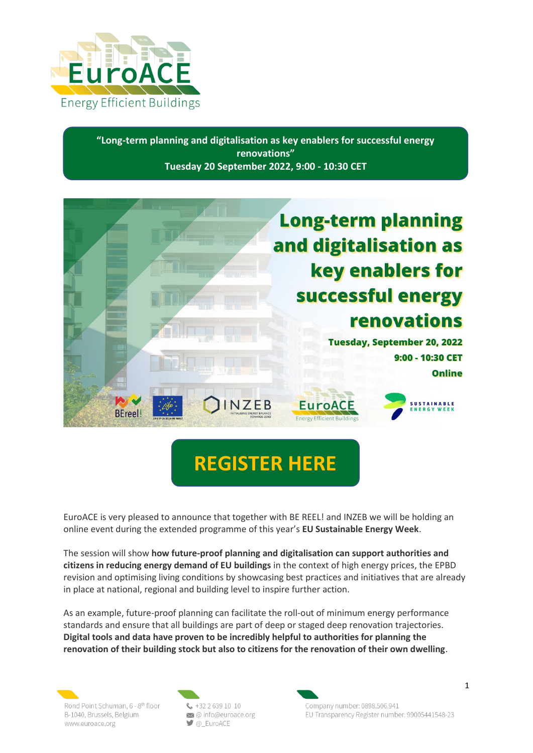

**"Long-term planning and digitalisation as key enablers for successful energy renovations" Tuesday 20 September 2022, 9:00 - 10:30 CET**



# **[REGISTER HERE](https://european-sustainable-energy-week.b2match.io/agenda?session=c2Vzc2lvbjoxMjMxMzc%3D&track_id=21187)**

EuroACE is very pleased to announce that together with BE REEL! and INZEB we will be holding an online event during the extended programme of this year's **EU Sustainable Energy Week**.

The session will show **how future-proof planning and digitalisation can support authorities and citizens in reducing energy demand of EU buildings** in the context of high energy prices, the EPBD revision and optimising living conditions by showcasing best practices and initiatives that are already in place at national, regional and building level to inspire further action.

As an example, future-proof planning can facilitate the roll-out of minimum energy performance standards and ensure that all buildings are part of deep or staged deep renovation trajectories. **Digital tools and data have proven to be incredibly helpful to authorities for planning the renovation of their building stock but also to citizens for the renovation of their own dwelling**.

Rond Point Schuman, 6 - 8th floor B-1040, Brussels, Belgium www.euroace.org

 $\frac{1}{2}$  +32 2 639 10 10 coinfo@euroace.org  $\Box$  @ EuroACE

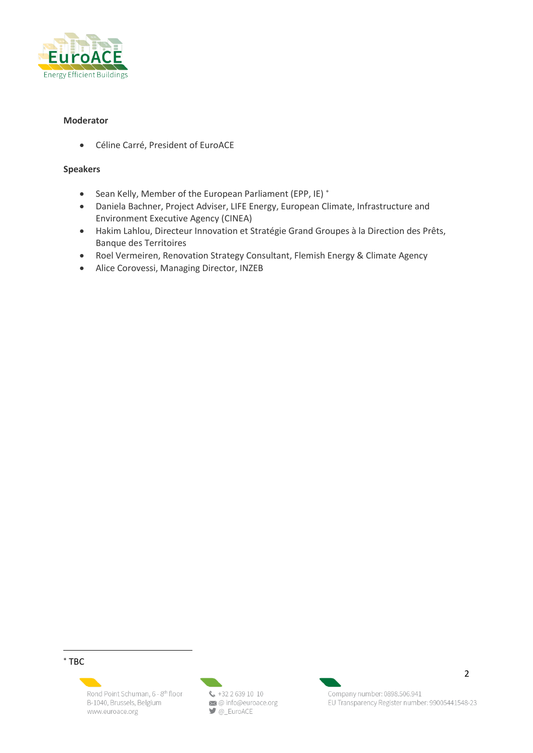

### **Moderator**

• Céline Carré, President of EuroACE

#### **Speakers**

- Sean Kelly, Member of the European Parliament (EPP, IE) \*
- Daniela Bachner, Project Adviser, LIFE Energy, European Climate, Infrastructure and Environment Executive Agency (CINEA)
- Hakim Lahlou, Directeur Innovation et Stratégie Grand Groupes à la Direction des Prêts, Banque des Territoires
- Roel Vermeiren, Renovation Strategy Consultant, Flemish Energy & Climate Agency
- Alice Corovessi, Managing Director, INZEB

 $*$  TBC

Rond Point Schuman, 6 - 8th floor B-1040, Brussels, Belgium www.euroace.org